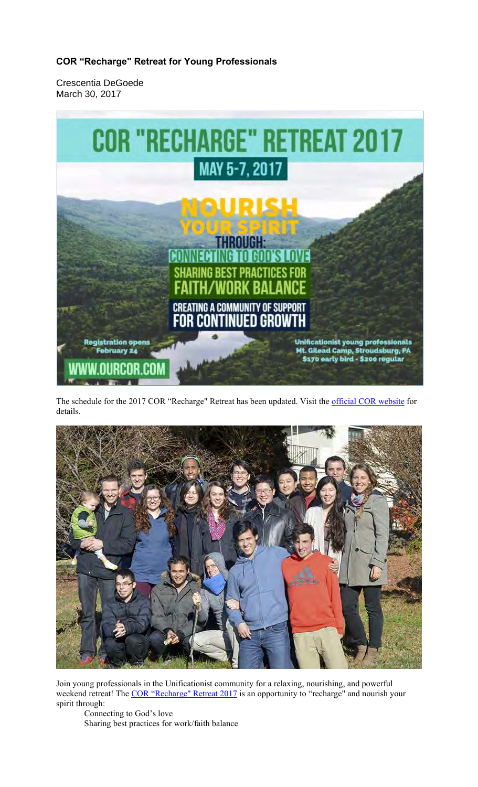# **COR "Recharge" Retreat for Young Professionals**

Crescentia DeGoede March 30, 2017



The schedule for the 2017 COR "Recharge" Retreat has been updated. Visit the official COR website for details.



Join young professionals in the Unificationist community for a relaxing, nourishing, and powerful weekend retreat! The COR "Recharge" Retreat 2017 is an opportunity to "recharge" and nourish your spirit through:

Connecting to God's love Sharing best practices for work/faith balance